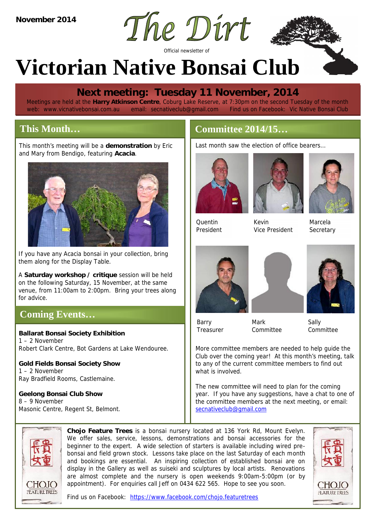

# **Victorian Native Bonsai Club**

# **Next meeting: Tuesday 11 November, 2014**

Meetings are held at the **Harry Atkinson Centre**, Coburg Lake Reserve, at 7:30pm on the second Tuesday of the month web: www.vicnativebonsai.com.au email: secnativeclub@gmail.com Find us on Facebook: Vic Native Bonsai Club

# **This Month…**

This month's meeting will be a **demonstration** by Eric This Month...<br>This month's meeting will be a demonstration by Eric<br>and Mary from Bendigo, featuring Acacia.



If you have any Acacia bonsai in your collection, bring them along for the Display Table.

A **Saturday workshop / critique** session will be held on the following Saturday, 15 November, at the same venue, from 11:00am to 2:00pm. Bring your trees along for advice.

# **Coming Events…**

**Ballarat Bonsai Society Exhibition** 1 – 2 November Robert Clark Centre, Bot Gardens at Lake Wendouree.

**Gold Fields Bonsai Society Show** 1 – 2 November Ray Bradfield Rooms, Castlemaine.

**Geelong Bonsai Club Show** 8 – 9 November Masonic Centre, Regent St, Belmont.

Last month saw the election of office bearers…



Quentin *President*





Kevin *Vice President*

Marcela *Secretary*







Barry *Treasurer*

Mark

*Committee*

Sally *Committee*

More committee members are needed to help guide the Club over the coming year! At this month's meeting, talk to any of the current committee members to find out what is involved.

The new committee will need to plan for the coming year. If you have any suggestions, have a chat to one of the committee members at the next meeting, or email: secnativeclub@gmail.com



**Chojo Feature Trees** is a bonsai nursery located at 136 York Rd, Mount Evelyn. We offer sales, service, lessons, demonstrations and bonsai accessories for the beginner to the expert. A wide selection of starters is available including wired pre bonsai and field grown stock. Lessons take place on the last Saturday of each month and bookings are essential. An inspiring collection of established bonsai are on display in the Gallery as well as suiseki and sculptures by local artists. Renovations are almost complete and the nursery is open weekends 9:00am-5:00pm (or by appointment). For enquiries call Jeff on 0434 622 565. Hope to see you soon.



Find us on Facebook: https://www.facebook.com/chojo.featuretrees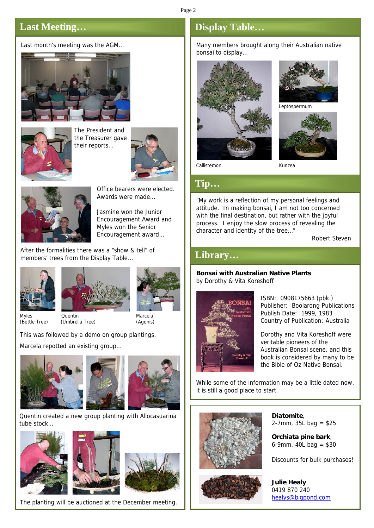#### Page 2

## **Last Meeting…**

Last month's meeting was the AGM…





The President and the Treasurer gave their reports…





Office bearers were elected. Awards were made…

Jasmine won the Junior Encouragement Award and Myles won the Senior Encouragement award…

After the formalities there was a "show & tell" of members' trees from the Display Table…







*Myles Quentin Marcela (Bottle Tree) (Umbrella Tree) (Agonis)*

This was followed by a demo on group plantings. Marcela repotted an existing group…







Quentin created a new group planting with Allocasuarina tube stock…







The planting will be auctioned at the December meeting.

## **Display Table…**

Many members brought along their Australian native bonsai to display…





*Leptospermum*



*Callistemon Kunzea*

#### **Tip…**

"My work is a reflection of my personal feelings and attitude. In making bonsai, I am not too concerned with the final destination, but rather with the joyful process. I enjoy the slow process of revealing the character and identity of the tree…"

*Robert Steven*

### **Library…**

**Bonsai with Australian Native Plants** by Dorothy & Vita Koreshoff



*ISBN:* 0908175663 (pbk.) *Publisher:* Boolarong Publications *Publish Date:* 1999, 1983 *Country of Publication:* Australia

Dorothy and Vita Koreshoff were veritable pioneers of the Australian Bonsai scene, and this book is considered by many to be the Bible of Oz Native Bonsai.

While some of the information may be a little dated now, it is still a good place to start.



**Diatomite**, 2-7mm, 35L bag = \$25

**Orchiata pine bark**, 6-9mm, 40L bag = \$30

*Discounts for bulk purchases!*

**Julie Healy** 0419 870 240 healys@bigpond.com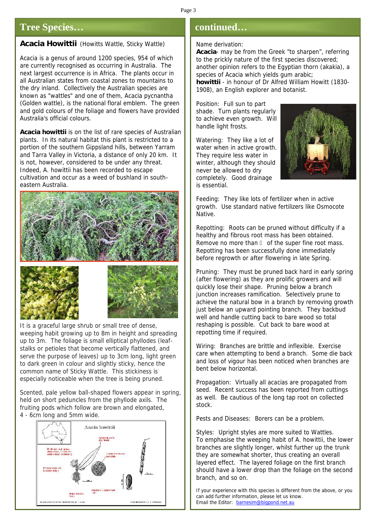#### **Tree Species…**

#### *Acacia Howittii* (Howitts Wattle, Sticky Wattle)

*Acacia* is a genus of around 1200 species, 954 of which are currently recognised as occurring in Australia. The next largest occurrence is in Africa. The plants occur in all Australian states from coastal zones to mountains to the dry inland. Collectively the Australian species are known as "wattles" and one of them, *Acacia pycnantha* (Golden wattle), is the national floral emblem. The green and gold colours of the foliage and flowers have provided Australia's official colours.

*Acacia howittii* is on the list of rare species of Australian plants. In its natural habitat this plant is restricted to a portion of the southern Gippsland hills, between Yarram and Tarra Valley in Victoria, a distance of only 20 km. It is not, however, considered to be under any threat. Indeed, *A. howittii* has been recorded to escape cultivation and occur as a weed of bushland in south eastern Australia.







It is a graceful large shrub or small tree of dense, weeping habit growing up to 8m in height and spreading up to 3m. The foliage is small elliptical phyllodes (leaf stalks or petioles that become vertically flattened, and serve the purpose of leaves) up to 3cm long, light green to dark green in colour and slightly sticky, hence the common name of Sticky Wattle. This stickiness is especially noticeable when the tree is being pruned.

Scented, pale yellow ball-shaped flowers appear in spring, held on short peduncles from the phyllode axils. The fruiting pods which follow are brown and elongated, 4 - 6cm long and 5mm wide.



#### **continued…**

#### *Name derivation:*

*Acacia-* may be from the Greek "to sharpen", referring to the prickly nature of the first species discovered; another opinion refers to the Egyptian thorn (akakia), a species of Acacia which yields gum arabic; *howittii -* in honour of Dr Alfred William Howitt (1830- 1908), an English explorer and botanist.

*Position:* Full sun to part shade. Turn plants regularly to achieve even growth. Will handle light frosts.

*Watering:* They like a lot of water when in active growth. They require less water in winter, although they should never be allowed to dry completely. Good drainage is essential.



*Feeding:* They like lots of fertilizer when in active growth. Use standard native fertilizers like Osmocote Native.

*Repotting:* Roots can be pruned without difficulty if a healthy and fibrous root mass has been obtained. Remove no more than of the super fine root mass. Repotting has been successfully done immediately before regrowth or after flowering in late Spring.

*Pruning:* They must be pruned back hard in early spring (after flowering) as they are prolific growers and will quickly lose their shape. Pruning below a branch junction increases ramification. Selectively prune to achieve the natural bow in a branch by removing growth just below an upward pointing branch. They backbud well and handle cutting back to bare wood so total reshaping is possible. Cut back to bare wood at repotting time if required.

*Wiring:* Branches are brittle and inflexible. Exercise care when attempting to bend a branch. Some die back and loss of vigour has been noticed when branches are bent below horizontal.

*Propagation:* Virtually all acacias are propagated from seed. Recent success has been reported from cuttings as well. Be cautious of the long tap root on collected stock.

*Pests and Diseases:* Borers can be a problem.

*Styles:* Upright styles are more suited to Wattles. To emphasise the weeping habit of *A. howittii*, the lower branches are slightly longer, whilst further up the trunk they are somewhat shorter, thus creating an overall layered effect. The layered foliage on the first branch should have a lower drop than the foliage on the second branch, and so on.

*If your experience with this species is different from the above, or you can add further information, please let us know. Email the Editor: barnesim@bigpond.net.au*